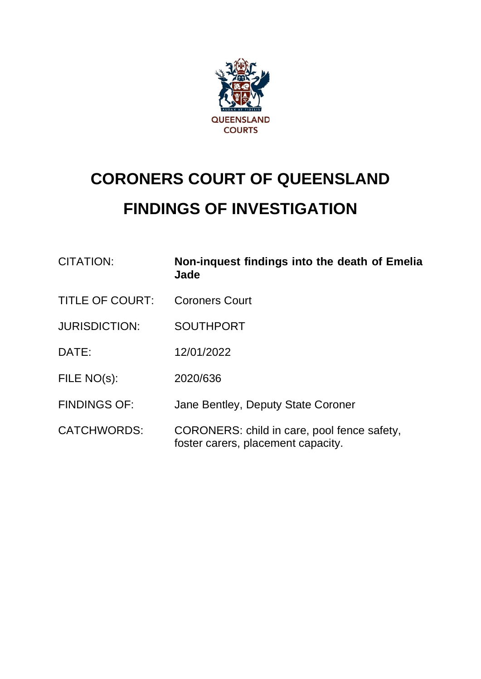

# **CORONERS COURT OF QUEENSLAND FINDINGS OF INVESTIGATION**

| CITATION:              | Non-inquest findings into the death of Emelia<br>Jade                             |
|------------------------|-----------------------------------------------------------------------------------|
| <b>TITLE OF COURT:</b> | <b>Coroners Court</b>                                                             |
| <b>JURISDICTION:</b>   | <b>SOUTHPORT</b>                                                                  |
| DATE:                  | 12/01/2022                                                                        |
| FILE NO(s):            | 2020/636                                                                          |
| <b>FINDINGS OF:</b>    | Jane Bentley, Deputy State Coroner                                                |
| <b>CATCHWORDS:</b>     | CORONERS: child in care, pool fence safety,<br>foster carers, placement capacity. |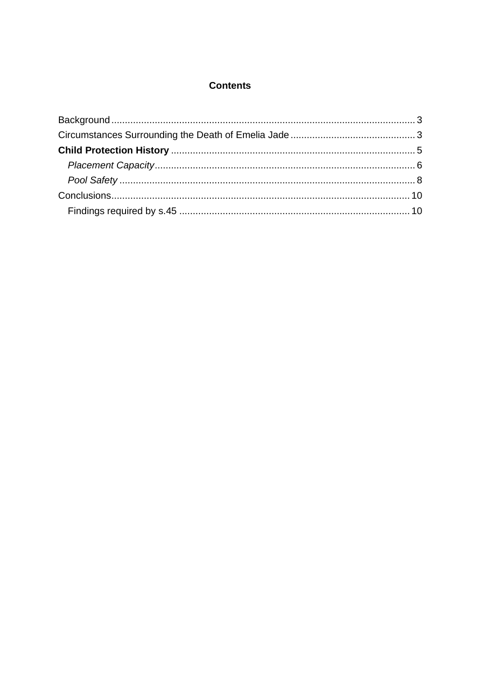#### **Contents**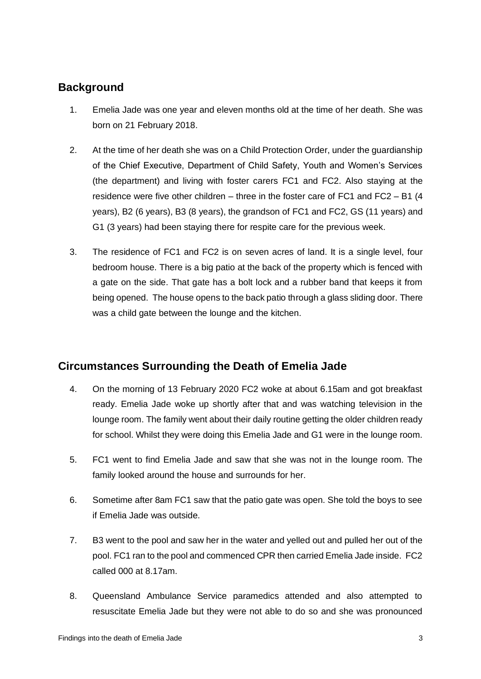## <span id="page-2-0"></span>**Background**

- 1. Emelia Jade was one year and eleven months old at the time of her death. She was born on 21 February 2018.
- 2. At the time of her death she was on a Child Protection Order, under the guardianship of the Chief Executive, Department of Child Safety, Youth and Women's Services (the department) and living with foster carers FC1 and FC2. Also staying at the residence were five other children – three in the foster care of FC1 and FC2 – B1 (4 years), B2 (6 years), B3 (8 years), the grandson of FC1 and FC2, GS (11 years) and G1 (3 years) had been staying there for respite care for the previous week.
- 3. The residence of FC1 and FC2 is on seven acres of land. It is a single level, four bedroom house. There is a big patio at the back of the property which is fenced with a gate on the side. That gate has a bolt lock and a rubber band that keeps it from being opened. The house opens to the back patio through a glass sliding door. There was a child gate between the lounge and the kitchen.

## <span id="page-2-1"></span>**Circumstances Surrounding the Death of Emelia Jade**

- 4. On the morning of 13 February 2020 FC2 woke at about 6.15am and got breakfast ready. Emelia Jade woke up shortly after that and was watching television in the lounge room. The family went about their daily routine getting the older children ready for school. Whilst they were doing this Emelia Jade and G1 were in the lounge room.
- 5. FC1 went to find Emelia Jade and saw that she was not in the lounge room. The family looked around the house and surrounds for her.
- 6. Sometime after 8am FC1 saw that the patio gate was open. She told the boys to see if Emelia Jade was outside.
- 7. B3 went to the pool and saw her in the water and yelled out and pulled her out of the pool. FC1 ran to the pool and commenced CPR then carried Emelia Jade inside. FC2 called 000 at 8.17am.
- 8. Queensland Ambulance Service paramedics attended and also attempted to resuscitate Emelia Jade but they were not able to do so and she was pronounced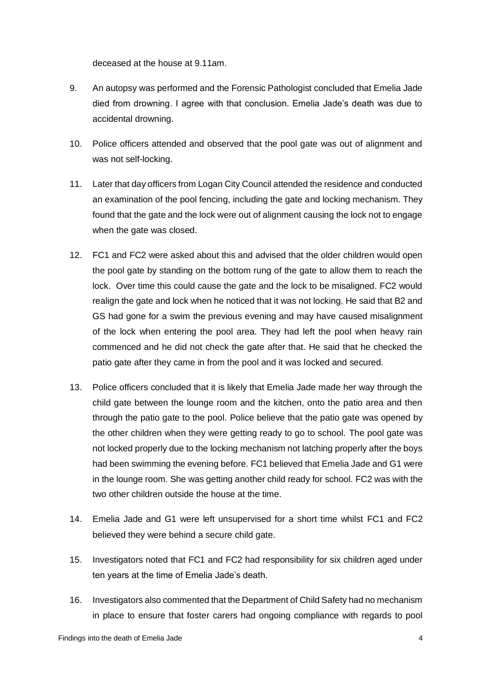deceased at the house at 9.11am.

- 9. An autopsy was performed and the Forensic Pathologist concluded that Emelia Jade died from drowning. I agree with that conclusion. Emelia Jade's death was due to accidental drowning.
- 10. Police officers attended and observed that the pool gate was out of alignment and was not self-locking.
- 11. Later that day officers from Logan City Council attended the residence and conducted an examination of the pool fencing, including the gate and locking mechanism. They found that the gate and the lock were out of alignment causing the lock not to engage when the gate was closed.
- 12. FC1 and FC2 were asked about this and advised that the older children would open the pool gate by standing on the bottom rung of the gate to allow them to reach the lock. Over time this could cause the gate and the lock to be misaligned. FC2 would realign the gate and lock when he noticed that it was not locking. He said that B2 and GS had gone for a swim the previous evening and may have caused misalignment of the lock when entering the pool area. They had left the pool when heavy rain commenced and he did not check the gate after that. He said that he checked the patio gate after they came in from the pool and it was locked and secured.
- 13. Police officers concluded that it is likely that Emelia Jade made her way through the child gate between the lounge room and the kitchen, onto the patio area and then through the patio gate to the pool. Police believe that the patio gate was opened by the other children when they were getting ready to go to school. The pool gate was not locked properly due to the locking mechanism not latching properly after the boys had been swimming the evening before. FC1 believed that Emelia Jade and G1 were in the lounge room. She was getting another child ready for school. FC2 was with the two other children outside the house at the time.
- 14. Emelia Jade and G1 were left unsupervised for a short time whilst FC1 and FC2 believed they were behind a secure child gate.
- 15. Investigators noted that FC1 and FC2 had responsibility for six children aged under ten years at the time of Emelia Jade's death.
- 16. Investigators also commented that the Department of Child Safety had no mechanism in place to ensure that foster carers had ongoing compliance with regards to pool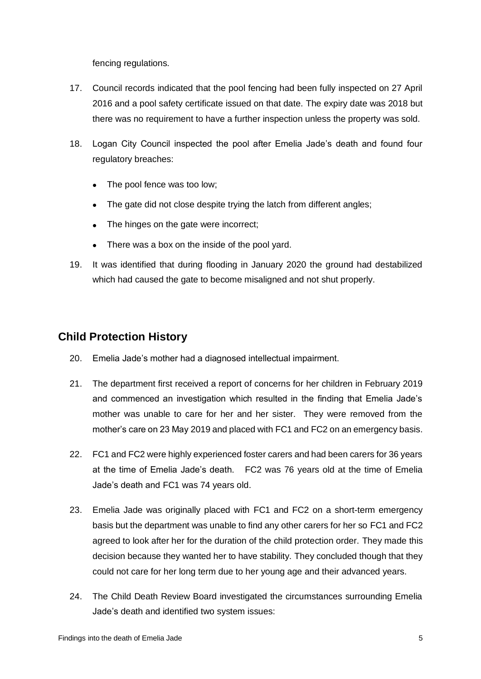fencing regulations.

- 17. Council records indicated that the pool fencing had been fully inspected on 27 April 2016 and a pool safety certificate issued on that date. The expiry date was 2018 but there was no requirement to have a further inspection unless the property was sold.
- 18. Logan City Council inspected the pool after Emelia Jade's death and found four regulatory breaches:
	- The pool fence was too low;
	- The gate did not close despite trying the latch from different angles;
	- The hinges on the gate were incorrect;
	- There was a box on the inside of the pool yard.
- 19. It was identified that during flooding in January 2020 the ground had destabilized which had caused the gate to become misaligned and not shut properly.

#### <span id="page-4-0"></span>**Child Protection History**

- 20. Emelia Jade's mother had a diagnosed intellectual impairment.
- 21. The department first received a report of concerns for her children in February 2019 and commenced an investigation which resulted in the finding that Emelia Jade's mother was unable to care for her and her sister. They were removed from the mother's care on 23 May 2019 and placed with FC1 and FC2 on an emergency basis.
- 22. FC1 and FC2 were highly experienced foster carers and had been carers for 36 years at the time of Emelia Jade's death. FC2 was 76 years old at the time of Emelia Jade's death and FC1 was 74 years old.
- 23. Emelia Jade was originally placed with FC1 and FC2 on a short-term emergency basis but the department was unable to find any other carers for her so FC1 and FC2 agreed to look after her for the duration of the child protection order. They made this decision because they wanted her to have stability. They concluded though that they could not care for her long term due to her young age and their advanced years.
- 24. The Child Death Review Board investigated the circumstances surrounding Emelia Jade's death and identified two system issues: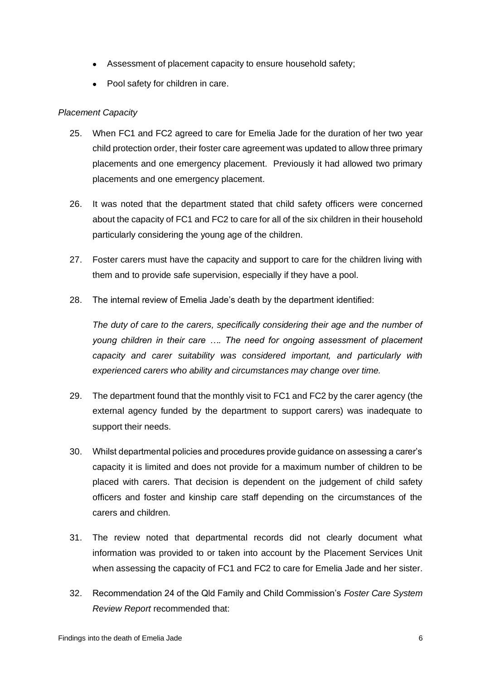- Assessment of placement capacity to ensure household safety;
- Pool safety for children in care.

#### <span id="page-5-0"></span>*Placement Capacity*

- 25. When FC1 and FC2 agreed to care for Emelia Jade for the duration of her two year child protection order, their foster care agreement was updated to allow three primary placements and one emergency placement. Previously it had allowed two primary placements and one emergency placement.
- 26. It was noted that the department stated that child safety officers were concerned about the capacity of FC1 and FC2 to care for all of the six children in their household particularly considering the young age of the children.
- 27. Foster carers must have the capacity and support to care for the children living with them and to provide safe supervision, especially if they have a pool.
- 28. The internal review of Emelia Jade's death by the department identified:

*The duty of care to the carers, specifically considering their age and the number of young children in their care …. The need for ongoing assessment of placement capacity and carer suitability was considered important, and particularly with experienced carers who ability and circumstances may change over time.*

- 29. The department found that the monthly visit to FC1 and FC2 by the carer agency (the external agency funded by the department to support carers) was inadequate to support their needs.
- 30. Whilst departmental policies and procedures provide guidance on assessing a carer's capacity it is limited and does not provide for a maximum number of children to be placed with carers. That decision is dependent on the judgement of child safety officers and foster and kinship care staff depending on the circumstances of the carers and children.
- 31. The review noted that departmental records did not clearly document what information was provided to or taken into account by the Placement Services Unit when assessing the capacity of FC1 and FC2 to care for Emelia Jade and her sister.
- 32. Recommendation 24 of the Qld Family and Child Commission's *Foster Care System Review Report* recommended that: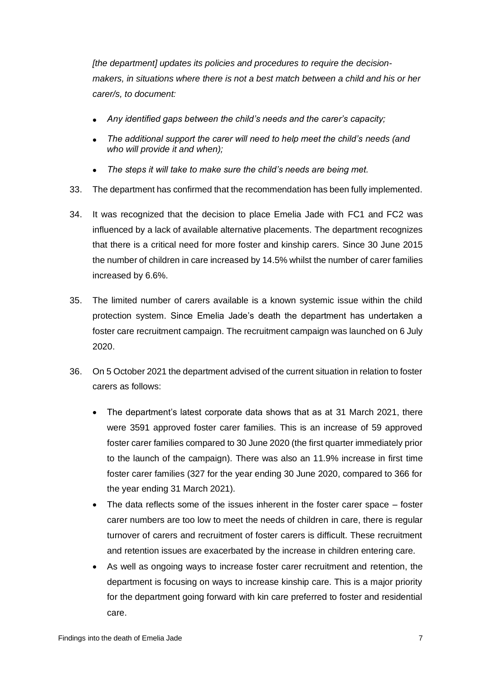*[the department] updates its policies and procedures to require the decisionmakers, in situations where there is not a best match between a child and his or her carer/s, to document:*

- *Any identified gaps between the child's needs and the carer's capacity;*
- *The additional support the carer will need to help meet the child's needs (and who will provide it and when);*
- *The steps it will take to make sure the child's needs are being met.*
- 33. The department has confirmed that the recommendation has been fully implemented.
- 34. It was recognized that the decision to place Emelia Jade with FC1 and FC2 was influenced by a lack of available alternative placements. The department recognizes that there is a critical need for more foster and kinship carers. Since 30 June 2015 the number of children in care increased by 14.5% whilst the number of carer families increased by 6.6%.
- 35. The limited number of carers available is a known systemic issue within the child protection system. Since Emelia Jade's death the department has undertaken a foster care recruitment campaign. The recruitment campaign was launched on 6 July 2020.
- 36. On 5 October 2021 the department advised of the current situation in relation to foster carers as follows:
	- The department's latest corporate data shows that as at 31 March 2021, there were 3591 approved foster carer families. This is an increase of 59 approved foster carer families compared to 30 June 2020 (the first quarter immediately prior to the launch of the campaign). There was also an 11.9% increase in first time foster carer families (327 for the year ending 30 June 2020, compared to 366 for the year ending 31 March 2021).
	- The data reflects some of the issues inherent in the foster carer space foster carer numbers are too low to meet the needs of children in care, there is regular turnover of carers and recruitment of foster carers is difficult. These recruitment and retention issues are exacerbated by the increase in children entering care.
	- As well as ongoing ways to increase foster carer recruitment and retention, the department is focusing on ways to increase kinship care. This is a major priority for the department going forward with kin care preferred to foster and residential care.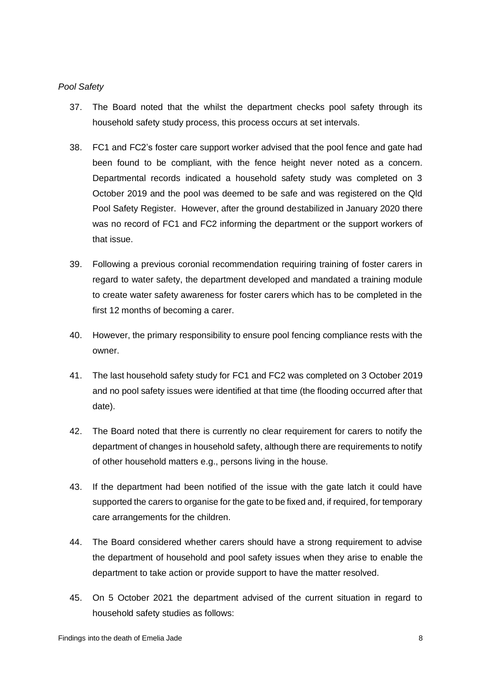#### <span id="page-7-0"></span>*Pool Safety*

- 37. The Board noted that the whilst the department checks pool safety through its household safety study process, this process occurs at set intervals.
- 38. FC1 and FC2's foster care support worker advised that the pool fence and gate had been found to be compliant, with the fence height never noted as a concern. Departmental records indicated a household safety study was completed on 3 October 2019 and the pool was deemed to be safe and was registered on the Qld Pool Safety Register. However, after the ground destabilized in January 2020 there was no record of FC1 and FC2 informing the department or the support workers of that issue.
- 39. Following a previous coronial recommendation requiring training of foster carers in regard to water safety, the department developed and mandated a training module to create water safety awareness for foster carers which has to be completed in the first 12 months of becoming a carer.
- 40. However, the primary responsibility to ensure pool fencing compliance rests with the owner.
- 41. The last household safety study for FC1 and FC2 was completed on 3 October 2019 and no pool safety issues were identified at that time (the flooding occurred after that date).
- 42. The Board noted that there is currently no clear requirement for carers to notify the department of changes in household safety, although there are requirements to notify of other household matters e.g., persons living in the house.
- 43. If the department had been notified of the issue with the gate latch it could have supported the carers to organise for the gate to be fixed and, if required, for temporary care arrangements for the children.
- 44. The Board considered whether carers should have a strong requirement to advise the department of household and pool safety issues when they arise to enable the department to take action or provide support to have the matter resolved.
- 45. On 5 October 2021 the department advised of the current situation in regard to household safety studies as follows: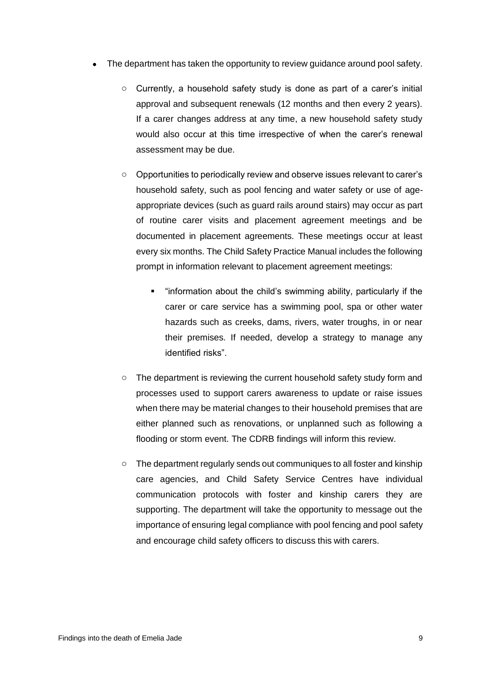- The department has taken the opportunity to review guidance around pool safety.
	- o Currently, a household safety study is done as part of a carer's initial approval and subsequent renewals (12 months and then every 2 years). If a carer changes address at any time, a new household safety study would also occur at this time irrespective of when the carer's renewal assessment may be due.
	- o Opportunities to periodically review and observe issues relevant to carer's household safety, such as pool fencing and water safety or use of ageappropriate devices (such as guard rails around stairs) may occur as part of routine carer visits and placement agreement meetings and be documented in placement agreements. These meetings occur at least every six months. The Child Safety Practice Manual includes the following prompt in information relevant to placement agreement meetings:
		- "information about the child's swimming ability, particularly if the carer or care service has a swimming pool, spa or other water hazards such as creeks, dams, rivers, water troughs, in or near their premises. If needed, develop a strategy to manage any identified risks".
	- o The department is reviewing the current household safety study form and processes used to support carers awareness to update or raise issues when there may be material changes to their household premises that are either planned such as renovations, or unplanned such as following a flooding or storm event. The CDRB findings will inform this review.
	- $\circ$  The department regularly sends out communiques to all foster and kinship care agencies, and Child Safety Service Centres have individual communication protocols with foster and kinship carers they are supporting. The department will take the opportunity to message out the importance of ensuring legal compliance with pool fencing and pool safety and encourage child safety officers to discuss this with carers.